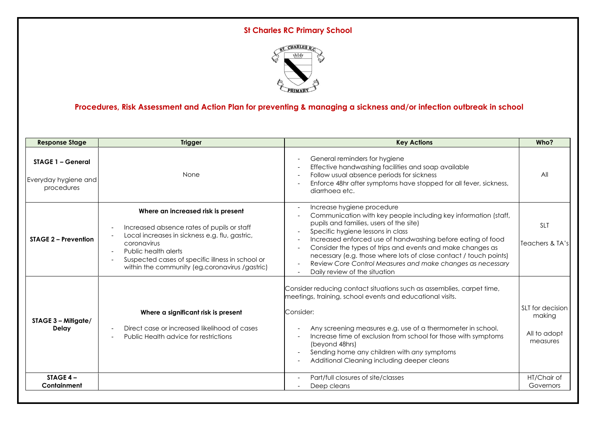# **St Charles RC Primary School**



# **Procedures, Risk Assessment and Action Plan for preventing & managing a sickness and/or infection outbreak in school**

| <b>Response Stage</b>                                          | <b>Trigger</b>                                                                                                                                                                                                                                                                            | <b>Key Actions</b>                                                                                                                                                                                                                                                                                                                                                                                                                                                                                         | Who?                                                   |
|----------------------------------------------------------------|-------------------------------------------------------------------------------------------------------------------------------------------------------------------------------------------------------------------------------------------------------------------------------------------|------------------------------------------------------------------------------------------------------------------------------------------------------------------------------------------------------------------------------------------------------------------------------------------------------------------------------------------------------------------------------------------------------------------------------------------------------------------------------------------------------------|--------------------------------------------------------|
| <b>STAGE 1 - General</b><br>Everyday hygiene and<br>procedures | None                                                                                                                                                                                                                                                                                      | General reminders for hygiene<br>$\overline{\phantom{a}}$<br>Effective handwashing facilities and soap available<br>Follow usual absence periods for sickness<br>$\overline{\phantom{a}}$<br>Enforce 48hr after symptoms have stopped for all fever, sickness,<br>diarrhoea etc.                                                                                                                                                                                                                           | All                                                    |
| <b>STAGE 2 - Prevention</b>                                    | Where an increased risk is present<br>Increased absence rates of pupils or staff<br>Local increases in sickness e.g. flu, gastric,<br>coronavirus<br>Public health alerts<br>$\sim$<br>Suspected cases of specific illness in school or<br>within the community (eg.coronavirus /gastric) | Increase hygiene procedure<br>Communication with key people including key information (staff,<br>pupils and families, users of the site)<br>Specific hygiene lessons in class<br>Increased enforced use of handwashing before eating of food<br>$\overline{\phantom{a}}$<br>Consider the types of trips and events and make changes as<br>necessary (e.g. those where lots of close contact / touch points)<br>Review Core Control Measures and make changes as necessary<br>Daily review of the situation | <b>SLT</b><br>Teachers & TA's                          |
| STAGE 3 - Mitigate/<br><b>Delay</b>                            | Where a significant risk is present<br>Direct case or increased likelihood of cases<br>Public Health advice for restrictions                                                                                                                                                              | Consider reducing contact situations such as assemblies, carpet time,<br>meetings, training, school events and educational visits.<br>Consider:<br>Any screening measures e.g. use of a thermometer in school.<br>Increase time of exclusion from school for those with symptoms<br>$\overline{\phantom{a}}$<br>(beyond 48hrs)<br>Sending home any children with any symptoms<br>Additional Cleaning including deeper cleans                                                                               | SLT for decision<br>making<br>All to adopt<br>measures |
| STAGE $4-$<br>Containment                                      |                                                                                                                                                                                                                                                                                           | Part/full closures of site/classes<br>$\overline{\phantom{a}}$<br>Deep cleans                                                                                                                                                                                                                                                                                                                                                                                                                              | HT/Chair of<br>Governors                               |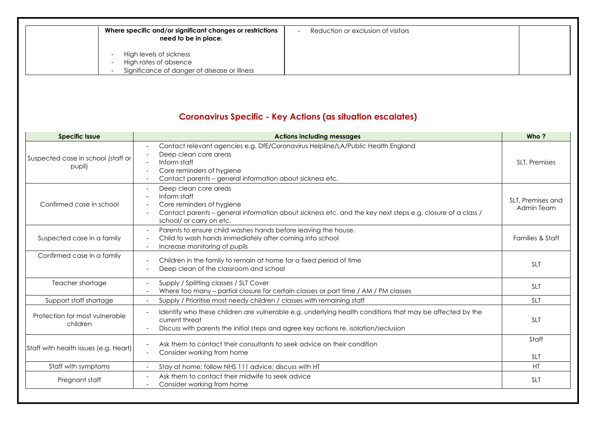| Where specific and/or significant changes or restrictions<br>need to be in place.                | Reduction or exclusion of visitors |  |
|--------------------------------------------------------------------------------------------------|------------------------------------|--|
| High levels of sickness<br>High rates of absence<br>Significance of danger of disease or illness |                                    |  |

# **Coronavirus Specific - Key Actions (as situation escalates)**

| <b>Specific Issue</b>                        | <b>Actions including messages</b>                                                                                                                                                                                   | Who?                            |
|----------------------------------------------|---------------------------------------------------------------------------------------------------------------------------------------------------------------------------------------------------------------------|---------------------------------|
| Suspected case in school (staff or<br>pupil) | Contact relevant agencies e.g. DfE/Coronavirus Helpline/LA/Public Health England<br>Deep clean core areas<br>Inform staff<br>Core reminders of hygiene<br>Contact parents - general information about sickness etc. | SLT, Premises                   |
| Confirmed case in school                     | Deep clean core areas<br>Inform staff<br>Core reminders of hygiene<br>Contact parents – general information about sickness etc. and the key next steps e.g. closure of a class /<br>school/ or carry on etc.        | SLT, Premises and<br>Admin Team |
| Suspected case in a family                   | Parents to ensure child washes hands before leaving the house.<br>Child to wash hands immediately after coming into school<br>Increase monitoring of pupils                                                         | Families & Staff                |
| Confirmed case in a family                   | Children in the family to remain at home for a fixed period of time<br>Deep clean of the classroom and school                                                                                                       | <b>SLT</b>                      |
| Teacher shortage                             | Supply / Splitting classes / SLT Cover<br>Where too many - partial closure for certain classes or part time / AM / PM classes                                                                                       | <b>SLT</b>                      |
| Support staff shortage                       | Supply / Prioritise most needy children / classes with remaining staff                                                                                                                                              | <b>SLT</b>                      |
| Protection for most vulnerable<br>children   | Identify who these children are vulnerable e.g. underlying health conditions that may be affected by the<br>current threat<br>Discuss with parents the initial steps and agree key actions re. isolation/seclusion  | <b>SLT</b>                      |
| Staff with health issues (e.g. Heart)        | Ask them to contact their consultants to seek advice on their condition<br>Consider working from home                                                                                                               | Staff<br><b>SLT</b>             |
| Staff with symptoms                          | Stay at home; follow NHS 111 advice; discuss with HT                                                                                                                                                                | HT                              |
| Pregnant staff                               | Ask them to contact their midwife to seek advice<br>Consider working from home                                                                                                                                      | <b>SLT</b>                      |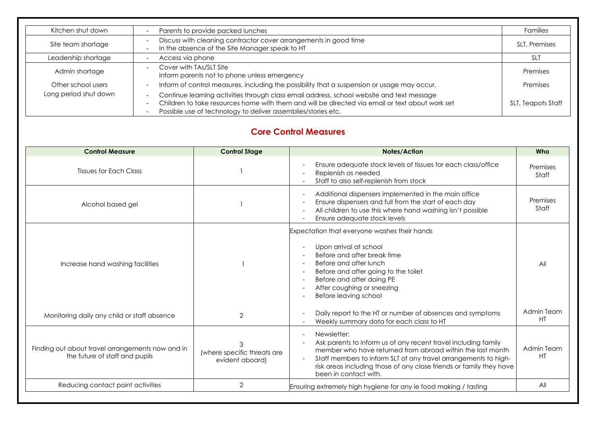| Kitchen shut down     | Parents to provide packed lunches                                                                                                                                                                                                                             | <b>Families</b>    |
|-----------------------|---------------------------------------------------------------------------------------------------------------------------------------------------------------------------------------------------------------------------------------------------------------|--------------------|
| Site team shortage    | Discuss with cleaning contractor cover arrangements in good time<br>In the absence of the Site Manager speak to HT                                                                                                                                            | SLT, Premises      |
| Leadership shortage   | Access via phone                                                                                                                                                                                                                                              | <b>SLT</b>         |
| Admin shortage        | Cover with TAs/SLT Site<br>Inform parents not to phone unless emergency                                                                                                                                                                                       | Premises           |
| Other school users    | Inform of control measures, including the possibility that a suspension or usage may occur.                                                                                                                                                                   | Premises           |
| Long period shut down | Continue learning activities through class email address, school website and text message<br>Children to take resources home with them and will be directed via email or text about work set<br>Possible use of technology to deliver assemblies/stories etc. | SLT, Teapots Staff |

## **Core Control Measures**

| <b>Control Measure</b>                                                             | <b>Control Stage</b>                           | Notes/Action                                                                                                                                                                                                                                                                                                   | Who               |
|------------------------------------------------------------------------------------|------------------------------------------------|----------------------------------------------------------------------------------------------------------------------------------------------------------------------------------------------------------------------------------------------------------------------------------------------------------------|-------------------|
| <b>Tissues for Each Class</b>                                                      |                                                | Ensure adequate stock levels of tissues for each class/office<br>Replenish as needed<br>Staff to also self-replenish from stock                                                                                                                                                                                | Premises<br>Staff |
| Alcohol based gel                                                                  |                                                | Additional dispensers implemented in the main office<br>Ensure dispensers and full from the start of each day<br>All children to use this where hand washing isn't possible<br>Ensure adequate stock levels<br>$\overline{\phantom{a}}$                                                                        | Premises<br>Staff |
| Increase hand washing facilities                                                   |                                                | Expectation that everyone washes their hands<br>Upon arrival at school<br>Before and after break time<br>Before and after lunch<br>Before and after going to the toilet<br>$\overline{\phantom{a}}$<br>Before and after doing PE<br>After coughing or sneezing<br>Before leaving school                        | All               |
| Monitoring daily any child or staff absence                                        | $\overline{2}$                                 | Daily report to the HT or number of absences and symptoms<br>Weekly summary data for each class to HT                                                                                                                                                                                                          | Admin Team<br>HT  |
| Finding out about travel arrangements now and in<br>the future of staff and pupils | (where specific threats are<br>evident aboard) | Newsletter:<br>Ask parents to inform us of any recent travel including family<br>member who have returned from abroad within the last month<br>Staff members to inform SLT of any travel arrangements to high-<br>risk areas including those of any close friends or family they have<br>been in contact with. | Admin Team<br>HT  |
| Reducing contact point activities                                                  | $\overline{2}$                                 | Ensuring extremely high hygiene for any ie food making / tasting                                                                                                                                                                                                                                               | All               |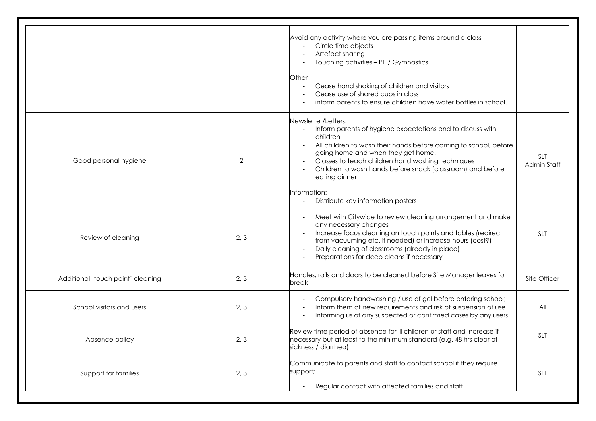|                                   |                | Avoid any activity where you are passing items around a class<br>Circle time objects<br>Artefact sharing<br>Touching activities - PE / Gymnastics<br><b>Other</b><br>Cease hand shaking of children and visitors<br>Cease use of shared cups in class<br>inform parents to ensure children have water bottles in school.                                                                                                      |                           |
|-----------------------------------|----------------|-------------------------------------------------------------------------------------------------------------------------------------------------------------------------------------------------------------------------------------------------------------------------------------------------------------------------------------------------------------------------------------------------------------------------------|---------------------------|
| Good personal hygiene             | $\overline{2}$ | Newsletter/Letters:<br>Inform parents of hygiene expectations and to discuss with<br>$\sim$<br>children<br>All children to wash their hands before coming to school, before<br>$\blacksquare$<br>going home and when they get home.<br>Classes to teach children hand washing techniques<br>Children to wash hands before snack (classroom) and before<br>eating dinner<br>Information:<br>Distribute key information posters | <b>SLT</b><br>Admin Staff |
| Review of cleaning                | 2, 3           | Meet with Citywide to review cleaning arrangement and make<br>any necessary changes<br>Increase focus cleaning on touch points and tables (redirect<br>from vacuuming etc. if needed) or increase hours (cost?)<br>Daily cleaning of classrooms (already in place)<br>$\overline{\phantom{a}}$<br>Preparations for deep cleans if necessary                                                                                   | <b>SLT</b>                |
| Additional 'touch point' cleaning | 2, 3           | Handles, rails and doors to be cleaned before Site Manager leaves for<br>break                                                                                                                                                                                                                                                                                                                                                | Site Officer              |
| School visitors and users         | 2, 3           | Compulsory handwashing / use of gel before entering school;<br>Inform them of new requirements and risk of suspension of use<br>Informing us of any suspected or confirmed cases by any users                                                                                                                                                                                                                                 | All                       |
| Absence policy                    | 2, 3           | Review time period of absence for ill children or staff and increase if<br>necessary but at least to the minimum standard (e.g. 48 hrs clear of<br>sickness / diarrhea)                                                                                                                                                                                                                                                       | SLT                       |
| Support for families              | 2, 3           | Communicate to parents and staff to contact school if they require<br>support;<br>Regular contact with affected families and staff<br>$\overline{\phantom{a}}$                                                                                                                                                                                                                                                                | <b>SLT</b>                |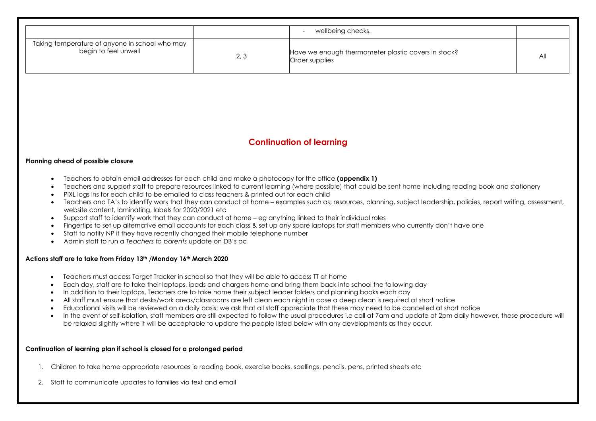|                                                                        |      | wellbeing checks.                                                     |  |
|------------------------------------------------------------------------|------|-----------------------------------------------------------------------|--|
| Taking temperature of anyone in school who may<br>begin to feel unwell | 2, 3 | Have we enough thermometer plastic covers in stock?<br>Order supplies |  |

### **Continuation of learning**

#### **Planning ahead of possible closure**

- Teachers to obtain email addresses for each child and make a photocopy for the office **(appendix 1)**
- Teachers and support staff to prepare resources linked to current learning (where possible) that could be sent home including reading book and stationery
- PiXL logs ins for each child to be emailed to class teachers & printed out for each child
- Teachers and TA's to identify work that they can conduct at home examples such as; resources, planning, subject leadership, policies, report writing, assessment, website content, laminating, labels for 2020/2021 etc
- Support staff to identify work that they can conduct at home eg anything linked to their individual roles
- Fingertips to set up alternative email accounts for each class & set up any spare laptops for staff members who currently don't have one
- Staff to notify NP if they have recently changed their mobile telephone number
- Admin staff to run a *Teachers to parents* update on DB's pc

#### **Actions staff are to take from Friday 13th /Monday 16th March 2020**

- Teachers must access Target Tracker in school so that they will be able to access TT at home
- Each day, staff are to take their laptops, ipads and chargers home and bring them back into school the following day
- In addition to their laptops, Teachers are to take home their subject leader folders and planning books each day
- All staff must ensure that desks/work areas/classrooms are left clean each night in case a deep clean is required at short notice
- Educational visits will be reviewed on a daily basis; we ask that all staff appreciate that these may need to be cancelled at short notice
- In the event of self-isolation, staff members are still expected to follow the usual procedures i.e call at 7am and update at 2pm daily however, these procedure will be relaxed slightly where it will be acceptable to update the people listed below with any developments as they occur.

#### **Continuation of learning plan if school is closed for a prolonged period**

- 1. Children to take home appropriate resources ie reading book, exercise books, spellings, pencils, pens, printed sheets etc
- 2. Staff to communicate updates to families via text and email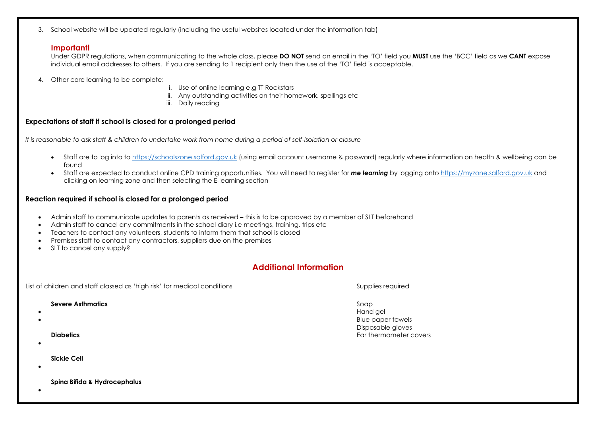3. School website will be updated regularly (including the useful websites located under the information tab)

#### **Important!**

Under GDPR regulations, when communicating to the whole class, please **DO NOT** send an email in the 'TO' field you **MUST** use the 'BCC' field as we **CANT** expose individual email addresses to others. If you are sending to 1 recipient only then the use of the 'TO' field is acceptable.

- 4. Other core learning to be complete:
- i. Use of online learning e.g TT Rockstars
- ii. Any outstanding activities on their homework, spellings etc
- iii. Daily reading

### **Expectations of staff if school is closed for a prolonged period**

*It is reasonable to ask staff & children to undertake work from home during a period of self-isolation or closure*

- Staff are to log into to [https://schoolszone.salford.gov.uk](https://schoolszone.salford.gov.uk/) (using email account username & password) regularly where information on health & wellbeing can be found
- Staff are expected to conduct online CPD training opportunities. You will need to register for **me learning** by logging onto [https://myzone.salford.gov.uk](https://myzone.salford.gov.uk/) and clicking on learning zone and then selecting the E-learning section

### **Reaction required if school is closed for a prolonged period**

- Admin staff to communicate updates to parents as received this is to be approved by a member of SLT beforehand
- Admin staff to cancel any commitments in the school diary i.e meetings, training, trips etc
- Teachers to contact any volunteers, students to inform them that school is closed
- Premises staff to contact any contractors, suppliers due on the premises
- SLT to cancel any supply?

### **Additional Information**

List of children and staff classed as 'high risk' for medical conditions Supplies required Supplies required **Severe Asthmatics** Soap • Hand gel • Blue paper towels Disposable gloves **Diabetics** Ear thermometer covers • **Sickle Cell** •

**Spina Bifida & Hydrocephalus**

•